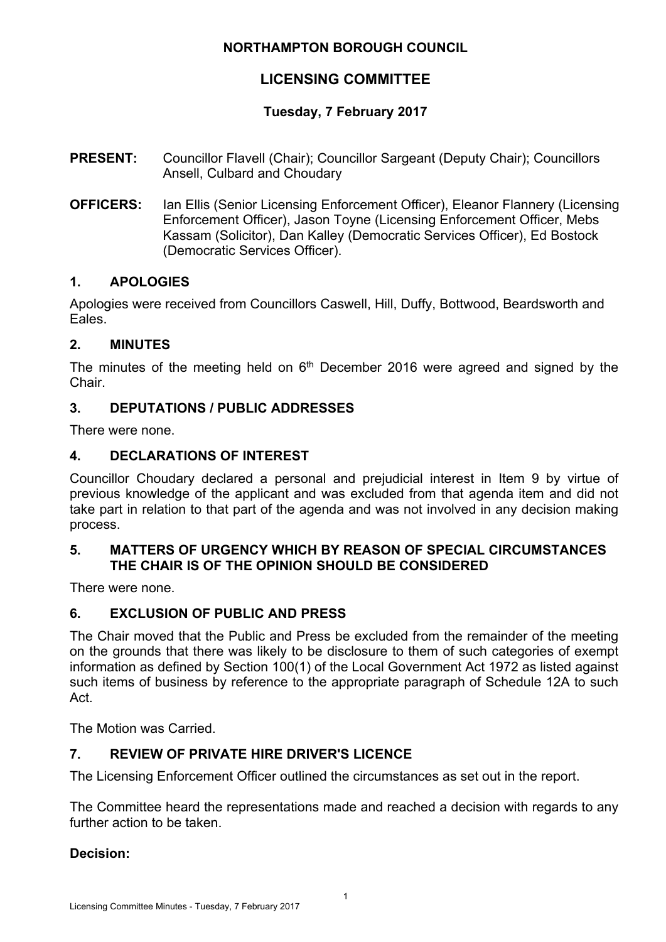## **NORTHAMPTON BOROUGH COUNCIL**

# **LICENSING COMMITTEE**

## **Tuesday, 7 February 2017**

- **PRESENT:** Councillor Flavell (Chair); Councillor Sargeant (Deputy Chair); Councillors Ansell, Culbard and Choudary
- **OFFICERS:** Ian Ellis (Senior Licensing Enforcement Officer), Eleanor Flannery (Licensing Enforcement Officer), Jason Toyne (Licensing Enforcement Officer, Mebs Kassam (Solicitor), Dan Kalley (Democratic Services Officer), Ed Bostock (Democratic Services Officer).

#### **1. APOLOGIES**

Apologies were received from Councillors Caswell, Hill, Duffy, Bottwood, Beardsworth and Eales.

#### **2. MINUTES**

The minutes of the meeting held on  $6<sup>th</sup>$  December 2016 were agreed and signed by the Chair.

### **3. DEPUTATIONS / PUBLIC ADDRESSES**

There were none.

### **4. DECLARATIONS OF INTEREST**

Councillor Choudary declared a personal and prejudicial interest in Item 9 by virtue of previous knowledge of the applicant and was excluded from that agenda item and did not take part in relation to that part of the agenda and was not involved in any decision making process.

#### **5. MATTERS OF URGENCY WHICH BY REASON OF SPECIAL CIRCUMSTANCES THE CHAIR IS OF THE OPINION SHOULD BE CONSIDERED**

There were none.

#### **6. EXCLUSION OF PUBLIC AND PRESS**

The Chair moved that the Public and Press be excluded from the remainder of the meeting on the grounds that there was likely to be disclosure to them of such categories of exempt information as defined by Section 100(1) of the Local Government Act 1972 as listed against such items of business by reference to the appropriate paragraph of Schedule 12A to such Act.

The Motion was Carried.

## **7. REVIEW OF PRIVATE HIRE DRIVER'S LICENCE**

The Licensing Enforcement Officer outlined the circumstances as set out in the report.

The Committee heard the representations made and reached a decision with regards to any further action to be taken.

#### **Decision:**